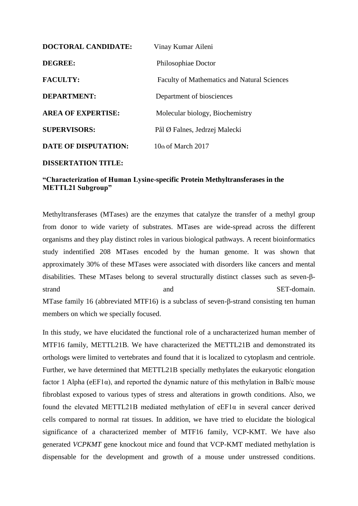| <b>DOCTORAL CANDIDATE:</b> | Vinay Kumar Aileni                                 |
|----------------------------|----------------------------------------------------|
| DEGREE:                    | Philosophiae Doctor                                |
| <b>FACULTY:</b>            | <b>Faculty of Mathematics and Natural Sciences</b> |
| <b>DEPARTMENT:</b>         | Department of biosciences                          |
| <b>AREA OF EXPERTISE:</b>  | Molecular biology, Biochemistry                    |
| <b>SUPERVISORS:</b>        | Pål Ø Falnes, Jedrzej Malecki                      |
| DATE OF DISPUTATION:       | $10th$ of March 2017                               |
|                            |                                                    |

## **DISSERTATION TITLE:**

## **"Characterization of Human Lysine-specific Protein Methyltransferases in the METTL21 Subgroup"**

Methyltransferases (MTases) are the enzymes that catalyze the transfer of a methyl group from donor to wide variety of substrates. MTases are wide-spread across the different organisms and they play distinct roles in various biological pathways. A recent bioinformatics study indentified 208 MTases encoded by the human genome. It was shown that approximately 30% of these MTases were associated with disorders like cancers and mental disabilities. These MTases belong to several structurally distinct classes such as seven-βstrand and and SET-domain. MTase family 16 (abbreviated MTF16) is a subclass of seven-β-strand consisting ten human members on which we specially focused.

In this study, we have elucidated the functional role of a uncharacterized human member of MTF16 family, METTL21B. We have characterized the METTL21B and demonstrated its orthologs were limited to vertebrates and found that it is localized to cytoplasm and centriole. Further, we have determined that METTL21B specially methylates the eukaryotic elongation factor 1 Alpha ( $eEF1\alpha$ ), and reported the dynamic nature of this methylation in Balb/c mouse fibroblast exposed to various types of stress and alterations in growth conditions. Also, we found the elevated METTL21B mediated methylation of eEF1α in several cancer derived cells compared to normal rat tissues. In addition, we have tried to elucidate the biological significance of a characterized member of MTF16 family, VCP-KMT. We have also generated *VCPKMT* gene knockout mice and found that VCP-KMT mediated methylation is dispensable for the development and growth of a mouse under unstressed conditions.